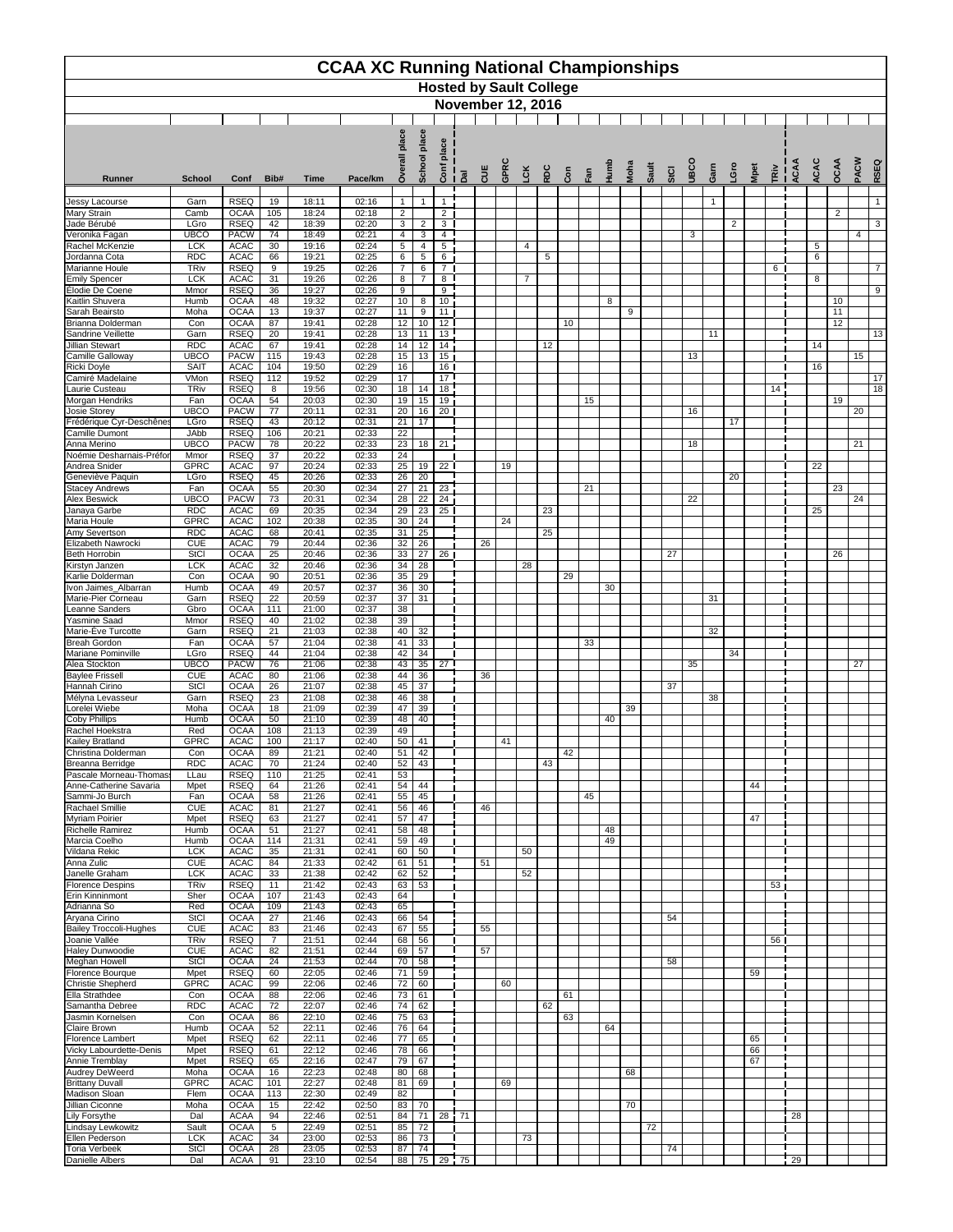|                                                 |                           |                            |                      |                | <b>CCAA XC Running National Championships</b> |                       |                       |                       |                  | <b>Hosted by Sault College</b><br><b>November 12, 2016</b> |      |            |            |     |     |               |      |       |      |              |      |                |          |      |        |        |                |      |                 |
|-------------------------------------------------|---------------------------|----------------------------|----------------------|----------------|-----------------------------------------------|-----------------------|-----------------------|-----------------------|------------------|------------------------------------------------------------|------|------------|------------|-----|-----|---------------|------|-------|------|--------------|------|----------------|----------|------|--------|--------|----------------|------|-----------------|
|                                                 |                           |                            |                      |                |                                               | ace                   | place                 | lace<br><u>ō.</u>     |                  |                                                            |      |            |            |     |     |               |      |       |      |              |      |                |          |      |        |        |                |      |                 |
| <b>Runner</b>                                   | <b>School</b>             | Conf                       | Bib#                 | <b>Time</b>    | Pace/km                                       | Š                     | School                | ont                   | $\overline{a}$   | CUE                                                        | GPRC | <b>LCK</b> | <b>RDC</b> | Con | Fan | $\frac{1}{2}$ | Moha | Sault | StCI | <b>ODBCO</b> | Garn | Gro            | Mpet     | IRiv | ى<br>ي | ACAC   | OCAA           | PACW | RSEQ            |
| Jessy Lacourse                                  | Garn                      | <b>RSEQ</b>                | 19                   | 18:11          | 02:16                                         | $\mathbf{1}$          | $\mathbf{1}$          | $\mathbf 1$           |                  |                                                            |      |            |            |     |     |               |      |       |      |              | -1   |                |          |      |        |        |                |      | $\overline{1}$  |
| <b>Mary Strain</b>                              | Camb<br>LGro              | <b>OCAA</b><br><b>RSEQ</b> | 105<br>42            | 18:24          | 02:18                                         | $\overline{2}$        |                       | $\overline{2}$        |                  |                                                            |      |            |            |     |     |               |      |       |      |              |      |                |          |      |        |        | $\overline{2}$ |      | $\mathbf{3}$    |
| Jade Bérubé<br>Veronika Fagan                   | <b>UBCO</b>               | <b>PACW</b>                | 74                   | 18:39<br>18:49 | 02:20<br>02:21                                | $\mathbf{3}$<br>4     | $\overline{2}$<br>3   | $\mathbf{3}$<br>4     |                  |                                                            |      |            |            |     |     |               |      |       |      | 3            |      | $\overline{2}$ |          |      |        |        |                | 4    |                 |
| Rachel McKenzie<br>Jordanna Cota                | <b>LCK</b><br><b>RDC</b>  | <b>ACAC</b><br><b>ACAC</b> | 30<br>66             | 19:16<br>19:21 | 02:24<br>02:25                                | $5\phantom{.0}$<br>6  | 4<br>$5\phantom{.0}$  | $\sqrt{5}$<br>6       |                  |                                                            |      | 4          | 5          |     |     |               |      |       |      |              |      |                |          |      |        | 5<br>6 |                |      |                 |
| Marianne Houle                                  | <b>TRiv</b>               | <b>RSEQ</b>                | 9                    | 19:25          | 02:26                                         | $\overline{7}$        | 6                     | $\overline{7}$        |                  |                                                            |      |            |            |     |     |               |      |       |      |              |      |                |          | 6    |        |        |                |      | $\overline{7}$  |
| <b>Emily Spencer</b><br>Élodie De Coene         | <b>LCK</b><br>Mmor        | <b>ACAC</b><br><b>RSEQ</b> | 31<br>36             | 19:26<br>19:27 | 02:26<br>02:26                                | 8<br>9                | $\overline{7}$        | 8<br>$\boldsymbol{9}$ |                  |                                                            |      | 7          |            |     |     |               |      |       |      |              |      |                |          |      |        | 8      |                |      | 9               |
| Kaitlin Shuvera<br>Sarah Beairsto               | Humb<br>Moha              | <b>OCAA</b><br><b>OCAA</b> | 48<br>13             | 19:32<br>19:37 | 02:27<br>02:27                                | 10<br>11              | 8<br>9                | 10<br>11              |                  |                                                            |      |            |            |     |     | 8             | 9    |       |      |              |      |                |          |      |        |        | 10<br>11       |      |                 |
| Brianna Dolderman                               | Con                       | <b>OCAA</b>                | 87                   | 19:41          | 02:28                                         | 12                    | 10                    | 12                    |                  |                                                            |      |            |            | 10  |     |               |      |       |      |              |      |                |          |      |        |        | 12             |      |                 |
| Sandrine Veillette<br><b>Jillian Stewart</b>    | Garn<br><b>RDC</b>        | <b>RSEQ</b><br><b>ACAC</b> | 20<br>67             | 19:41<br>19:41 | 02:28<br>02:28                                | 13<br>14              | 11<br>12              | 13<br>14              |                  |                                                            |      |            | 12         |     |     |               |      |       |      |              | 11   |                |          |      |        | 14     |                |      | 13              |
| Camille Galloway                                | <b>UBCO</b>               | <b>PACW</b>                | 115                  | 19:43          | 02:28                                         | $\overline{15}$       | 13                    | 15                    |                  |                                                            |      |            |            |     |     |               |      |       |      | 13           |      |                |          |      |        |        |                | 15   |                 |
| Ricki Doyle<br>Camiré Madelaine                 | <b>SAIT</b><br>VMon       | <b>ACAC</b><br><b>RSEQ</b> | 104<br>112           | 19:50<br>19:52 | 02:29<br>02:29                                | 16<br>17              |                       | 16<br>17 <sup>1</sup> |                  |                                                            |      |            |            |     |     |               |      |       |      |              |      |                |          |      |        | 16     |                |      | 17              |
| Laurie Custeau                                  | <b>TRiv</b><br>Fan        | <b>RSEQ</b><br><b>OCAA</b> | 8<br>54              | 19:56<br>20:03 | 02:30<br>02:30                                | 18<br>19              | 14<br>15              | $\overline{18}$<br>19 |                  |                                                            |      |            |            |     | 15  |               |      |       |      |              |      |                |          | 14   |        |        | 19             |      | $\overline{18}$ |
| Morgan Hendriks<br>Josie Storey                 | <b>UBCO</b>               | <b>PACW</b>                | 77                   | 20:11          | 02:31                                         | 20                    | 16                    | 20 <sub>1</sub>       |                  |                                                            |      |            |            |     |     |               |      |       |      | 16           |      |                |          |      |        |        |                | 20   |                 |
| Frédérique Cyr-Deschênes<br>Camille Dumont      | LGro<br>JAbb              | <b>RSEQ</b><br><b>RSEQ</b> | 43<br>106            | 20:12<br>20:21 | 02:31<br>02:33                                | 21<br>22              | 17                    |                       |                  |                                                            |      |            |            |     |     |               |      |       |      |              |      | 17             |          |      |        |        |                |      |                 |
| Anna Merino                                     | <b>UBCO</b>               | <b>PACW</b>                | 78                   | 20:22          | 02:33                                         | 23                    | 18                    | 21                    |                  |                                                            |      |            |            |     |     |               |      |       |      | 18           |      |                |          |      |        |        |                | 21   |                 |
| Noémie Desharnais-Préfor<br>Andrea Snider       | Mmor<br><b>GPRC</b>       | <b>RSEQ</b><br><b>ACAC</b> | 37<br>97             | 20:22<br>20:24 | 02:33<br>02:33                                | 24<br>25              | 19                    | 22 <sub>1</sub>       |                  |                                                            | 19   |            |            |     |     |               |      |       |      |              |      |                |          |      |        | 22     |                |      |                 |
| Geneviève Paquin                                | LGro                      | <b>RSEQ</b>                | 45                   | 20:26          | 02:33                                         | 26                    | 20                    |                       |                  |                                                            |      |            |            |     |     |               |      |       |      |              |      | 20             |          |      |        |        |                |      |                 |
| <b>Stacey Andrews</b><br><b>Alex Beswick</b>    | Fan<br><b>UBCO</b>        | <b>OCAA</b><br><b>PACW</b> | 55<br>73             | 20:30<br>20:31 | 02:34<br>02:34                                | 27<br>$\overline{28}$ | 21<br>22              | 23<br>24              |                  |                                                            |      |            |            |     | 21  |               |      |       |      | 22           |      |                |          |      |        |        | 23             | 24   |                 |
| Janaya Garbe<br>Maria Houle                     | <b>RDC</b><br><b>GPRC</b> | <b>ACAC</b><br><b>ACAC</b> | 69<br>102            | 20:35<br>20:38 | 02:34<br>02:35                                | 29<br>30              | 23<br>24              | 25 <sub>1</sub>       |                  |                                                            | 24   |            | 23         |     |     |               |      |       |      |              |      |                |          |      |        | 25     |                |      |                 |
| Amy Severtson                                   | <b>RDC</b>                | <b>ACAC</b>                | 68                   | 20:41          | 02:35                                         | 31                    | 25                    |                       |                  |                                                            |      |            | 25         |     |     |               |      |       |      |              |      |                |          |      |        |        |                |      |                 |
| Elizabeth Nawrocki<br><b>Beth Horrobin</b>      | <b>CUE</b><br><b>StCl</b> | <b>ACAC</b><br><b>OCAA</b> | 79<br>25             | 20:44<br>20:46 | 02:36<br>02:36                                | 32<br>33              | $\overline{26}$<br>27 | 26 <sub>1</sub>       |                  | 26                                                         |      |            |            |     |     |               |      |       | 27   |              |      |                |          |      |        |        | 26             |      |                 |
| Kirstyn Janzen                                  | <b>LCK</b>                | <b>ACAC</b>                | 32                   | 20:46          | 02:36                                         | 34                    | 28                    |                       |                  |                                                            |      | 28         |            |     |     |               |      |       |      |              |      |                |          |      |        |        |                |      |                 |
| Karlie Dolderman<br>Ivon Jaimes_Albarran        | Con<br>Humb               | <b>OCAA</b><br><b>OCAA</b> | 90<br>49             | 20:51<br>20:57 | 02:36<br>02:37                                | 35<br>$\overline{36}$ | 29<br>30              |                       |                  |                                                            |      |            |            | 29  |     | 30            |      |       |      |              |      |                |          |      |        |        |                |      |                 |
| Marie-Pier Corneau                              | Garn<br>Gbro              | <b>RSEQ</b><br><b>OCAA</b> | 22<br>111            | 20:59<br>21:00 | 02:37                                         | 37<br>38              | 31                    |                       |                  |                                                            |      |            |            |     |     |               |      |       |      |              | 31   |                |          |      |        |        |                |      |                 |
| Leanne Sanders<br>Yasmine Saad                  | Mmor                      | <b>RSEQ</b>                | 40                   | 21:02          | 02:37<br>02:38                                | 39                    |                       |                       |                  |                                                            |      |            |            |     |     |               |      |       |      |              |      |                |          |      |        |        |                |      |                 |
| Marie-Ève Turcotte<br><b>Breah Gordon</b>       | Garn<br>Fan               | <b>RSEQ</b><br><b>OCAA</b> | 21<br>57             | 21:03<br>21:04 | 02:38<br>02:38                                | 40<br>41              | 32<br>33              |                       |                  |                                                            |      |            |            |     | 33  |               |      |       |      |              | 32   |                |          |      |        |        |                |      |                 |
| Mariane Pominville                              | LGro                      | <b>RSEQ</b>                | 44                   | 21:04          | 02:38                                         | 42                    | 34                    |                       |                  |                                                            |      |            |            |     |     |               |      |       |      |              |      | 34             |          |      |        |        |                |      |                 |
| Alea Stockton<br><b>Baylee Frissell</b>         | <b>UBCO</b><br><b>CUE</b> | <b>PACW</b><br><b>ACAC</b> | 76<br>80             | 21:06<br>21:06 | 02:38<br>02:38                                | 43<br>44              | 35<br>36              | 27 <sup>1</sup>       |                  | 36                                                         |      |            |            |     |     |               |      |       |      | 35           |      |                |          |      |        |        |                | 27   |                 |
| Hannah Cirino                                   | <b>StCI</b>               | <b>OCAA</b><br><b>RSEQ</b> | 26                   | 21:07          | 02:38<br>02:38                                | 45<br>46              | 37<br>38              |                       |                  |                                                            |      |            |            |     |     |               |      |       | 37   |              |      |                |          |      |        |        |                |      |                 |
| Mélyna Levasseur<br>Lorelei Wiebe               | Garn<br>Moha              | <b>OCAA</b>                | 23<br>18             | 21:08<br>21:09 | 02:39                                         | 47                    | 39                    |                       |                  |                                                            |      |            |            |     |     |               | 39   |       |      |              | 38   |                |          |      |        |        |                |      |                 |
| Coby Phillips<br>Rachel Hoekstra                | Humb<br>Red               | <b>OCAA</b><br><b>OCAA</b> | 50<br>108            | 21:10<br>21:13 | 02:39<br>02:39                                | 48<br>49              | 40                    |                       |                  |                                                            |      |            |            |     |     | 40            |      |       |      |              |      |                |          |      |        |        |                |      |                 |
| Kailey Bratland                                 | <b>GPRC</b>               | <b>ACAC</b>                | 100                  | 21:17          | 02:40                                         | 50                    | 41                    |                       |                  |                                                            | 41   |            |            |     |     |               |      |       |      |              |      |                |          |      |        |        |                |      |                 |
| Christina Dolderman<br>Breanna Berridge         | Con<br><b>RDC</b>         | <b>OCAA</b><br><b>ACAC</b> | 89<br>70             | 21:21<br>21:24 | 02:40<br>02:40                                | 51<br>52              | 42<br>43              |                       |                  |                                                            |      |            | 43         | 42  |     |               |      |       |      |              |      |                |          |      |        |        |                |      |                 |
| Pascale Morneau-Thomas                          | LLau                      | <b>RSEQ</b><br><b>RSEQ</b> | 110<br>64            | 21:25<br>21:26 | 02:41                                         | 53                    |                       |                       |                  |                                                            |      |            |            |     |     |               |      |       |      |              |      |                |          |      |        |        |                |      |                 |
| Anne-Catherine Savaria<br>Sammi-Jo Burch        | Mpet<br>Fan               | <b>OCAA</b>                | 58                   | 21:26          | 02:41<br>02:41                                | 54<br>55              | 44<br>45              |                       |                  |                                                            |      |            |            |     | 45  |               |      |       |      |              |      |                | 44       |      |        |        |                |      |                 |
| Rachael Smillie<br>Myriam Poirier               | <b>CUE</b><br>Mpet        | <b>ACAC</b><br><b>RSEQ</b> | 81<br>63             | 21:27<br>21:27 | 02:41<br>02:41                                | 56<br>57              | 46<br>47              |                       |                  | 46                                                         |      |            |            |     |     |               |      |       |      |              |      |                | 47       |      |        |        |                |      |                 |
| Richelle Ramirez                                | Humb                      | <b>OCAA</b>                | 51                   | 21:27          | 02:41                                         | 58                    | 48                    |                       |                  |                                                            |      |            |            |     |     | 48            |      |       |      |              |      |                |          |      |        |        |                |      |                 |
| Marcia Coelho<br>Vildana Rekic                  | Humb<br><b>LCK</b>        | <b>OCAA</b><br><b>ACAC</b> | 114<br>35            | 21:31<br>21:31 | 02:41<br>02:41                                | 59<br>60              | 49<br>50              |                       |                  |                                                            |      | 50         |            |     |     | 49            |      |       |      |              |      |                |          |      |        |        |                |      |                 |
| Anna Zulic                                      | <b>CUE</b>                | <b>ACAC</b>                | 84                   | 21:33          | 02:42                                         | 61                    | 51                    |                       |                  | 51                                                         |      |            |            |     |     |               |      |       |      |              |      |                |          |      |        |        |                |      |                 |
| Janelle Graham<br><b>Florence Despins</b>       | <b>LCK</b><br><b>TRiv</b> | <b>ACAC</b><br><b>RSEQ</b> | 33<br>11             | 21:38<br>21:42 | 02:42<br>02:43                                | 62<br>63              | 52<br>53              |                       |                  |                                                            |      | 52         |            |     |     |               |      |       |      |              |      |                |          | 53   |        |        |                |      |                 |
| Erin Kinninmont<br>Adrianna So                  | Sher<br>Red               | <b>OCAA</b><br><b>OCAA</b> | 107<br>109           | 21:43<br>21:43 | 02:43<br>02:43                                | 64<br>65              |                       |                       |                  |                                                            |      |            |            |     |     |               |      |       |      |              |      |                |          |      |        |        |                |      |                 |
| Aryana Cirino                                   | <b>StCI</b>               | <b>OCAA</b>                | 27                   | 21:46          | 02:43                                         | 66                    | 54                    |                       |                  |                                                            |      |            |            |     |     |               |      |       | 54   |              |      |                |          |      |        |        |                |      |                 |
| <b>Bailey Troccoli-Hughes</b><br>Joanie Vallée  | <b>CUE</b><br><b>TRiv</b> | <b>ACAC</b><br><b>RSEQ</b> | 83<br>$\overline{7}$ | 21:46<br>21:51 | 02:43<br>02:44                                | 67<br>68              | 55<br>56              |                       |                  | 55                                                         |      |            |            |     |     |               |      |       |      |              |      |                |          | 56   |        |        |                |      |                 |
| Haley Dunwoodie<br>Meghan Howell                | <b>CUE</b><br><b>StCI</b> | <b>ACAC</b><br><b>OCAA</b> | 82<br>24             | 21:51<br>21:53 | 02:44<br>02:44                                | 69<br>70              | 57<br>58              |                       |                  | 57                                                         |      |            |            |     |     |               |      |       | 58   |              |      |                |          |      |        |        |                |      |                 |
| Florence Bourque                                | Mpet                      | <b>RSEQ</b>                | 60                   | 22:05          | 02:46                                         | 71                    | 59                    |                       |                  |                                                            |      |            |            |     |     |               |      |       |      |              |      |                | 59       |      |        |        |                |      |                 |
| Christie Shepherd<br><b>Ella Strathdee</b>      | <b>GPRC</b><br>Con        | <b>ACAC</b><br><b>OCAA</b> | 99<br>88             | 22:06<br>22:06 | 02:46<br>02:46                                | 72<br>73              | 60<br>61              |                       |                  |                                                            | 60   |            |            | 61  |     |               |      |       |      |              |      |                |          |      |        |        |                |      |                 |
| Samantha Debree                                 | <b>RDC</b>                | <b>ACAC</b>                | 72                   | 22:07          | 02:46                                         | 74                    | 62                    |                       |                  |                                                            |      |            | 62         |     |     |               |      |       |      |              |      |                |          |      |        |        |                |      |                 |
| Jasmin Kornelsen<br>Claire Brown                | Con<br>Humb               | <b>OCAA</b><br><b>OCAA</b> | 86<br>52             | 22:10<br>22:11 | 02:46<br>02:46                                | 75<br>$\overline{76}$ | 63<br>64              |                       |                  |                                                            |      |            |            | 63  |     | 64            |      |       |      |              |      |                |          |      |        |        |                |      |                 |
| Florence Lambert                                | Mpet                      | <b>RSEQ</b>                | 62                   | 22:11          | 02:46                                         | 77                    | 65                    |                       |                  |                                                            |      |            |            |     |     |               |      |       |      |              |      |                | 65       |      |        |        |                |      |                 |
| Vicky Labourdette-Denis<br>Annie Tremblay       | Mpet<br>Mpet              | <b>RSEQ</b><br><b>RSEQ</b> | 61<br>65             | 22:12<br>22:16 | 02:46<br>02:47                                | 78<br>79              | 66<br>67              |                       |                  |                                                            |      |            |            |     |     |               |      |       |      |              |      |                | 66<br>67 |      |        |        |                |      |                 |
| <b>Audrey DeWeerd</b><br><b>Brittany Duvall</b> | Moha<br><b>GPRC</b>       | <b>OCAA</b><br><b>ACAC</b> | 16<br>101            | 22:23<br>22:27 | 02:48<br>02:48                                | 80<br>81              | 68<br>69              |                       |                  |                                                            | 69   |            |            |     |     |               | 68   |       |      |              |      |                |          |      |        |        |                |      |                 |
| Madison Sloan                                   | Flem                      | <b>OCAA</b>                | 113                  | 22:30          | 02:49                                         | $\overline{82}$       |                       |                       |                  |                                                            |      |            |            |     |     |               |      |       |      |              |      |                |          |      |        |        |                |      |                 |
| Jillian Ciconne<br>Lily Forsythe                | Moha<br>Dal               | <b>OCAA</b><br><b>ACAA</b> | 15<br>94             | 22:42<br>22:46 | 02:50<br>02:51                                | 83<br>84              | 70<br>71              | 28                    | $\frac{1}{1}$ 71 |                                                            |      |            |            |     |     |               | 70   |       |      |              |      |                |          |      | 28     |        |                |      |                 |
| Lindsay Lewkowitz                               | Sault                     | <b>OCAA</b>                | 5                    | 22:49          | 02:51                                         | 85                    | 72                    |                       |                  |                                                            |      |            |            |     |     |               |      | 72    |      |              |      |                |          |      |        |        |                |      |                 |
| Ellen Pederson<br><b>Toria Verbeek</b>          | <b>LCK</b><br><b>StCI</b> | <b>ACAC</b><br><b>OCAA</b> | 34<br>28             | 23:00<br>23:05 | 02:53<br>02:53                                | 86<br>87              | 73<br>74              |                       |                  |                                                            |      | 73         |            |     |     |               |      |       | 74   |              |      |                |          |      |        |        |                |      |                 |
| Danielle Albers                                 | Dal                       | <b>ACAA</b>                | 91                   | 23:10          | 02:54                                         | 88                    | 75                    | 29                    | $\frac{1}{1}$ 75 |                                                            |      |            |            |     |     |               |      |       |      |              |      |                |          |      | 29     |        |                |      |                 |